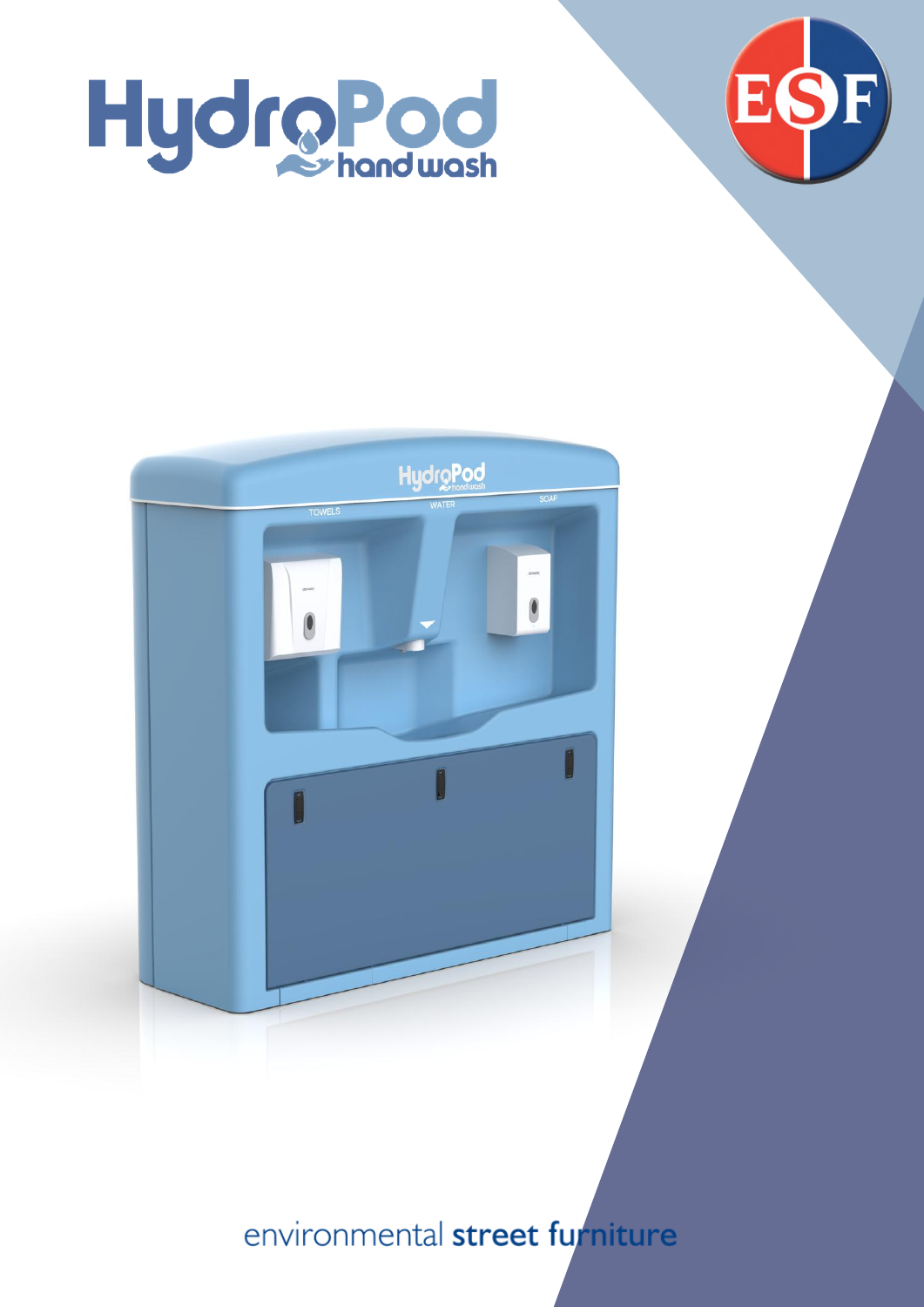





environmental street furniture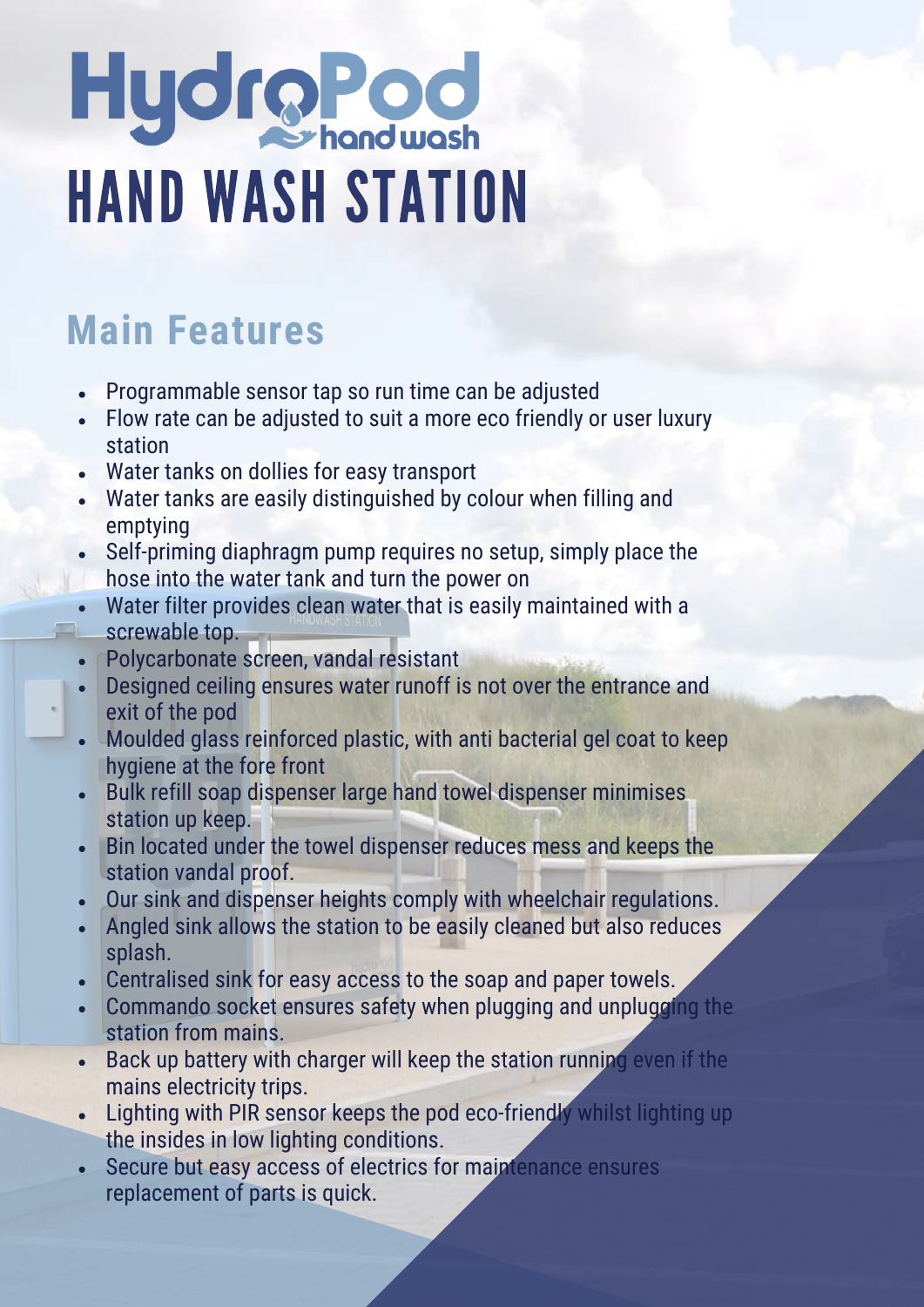# Hydro Pod<br>HAND WASH STATION

# **Main Features**

- Programmable sensor tap so run time can be adjusted
- Flow rate can be adjusted to suit a more eco friendly or user luxury station
- Water tanks on dollies for easy transport
- Water tanks are easily distinguished by colour when filling and emptying
- Self-priming diaphragm pump requires no setup, simply place the hose into the water tank and turn the power on
- Water filter provides clean water that is easily maintained with a screwable top.
- Polycarbonate screen, vandal resistant
- Designed ceiling ensures water runoff is not over the entrance and exit of the pod
- Moulded glass reinforced plastic, with anti bacterial gel coat to keep hygiene at the fore front
- Bulk refill soap dispenser large hand towel dispenser minimises station up keep.
- Bin located under the towel dispenser reduces mess and keeps the station vandal proof.
- Our sink and dispenser heights comply with wheelchair regulations.
- Angled sink allows the station to be easily cleaned but also reduces  $\bullet$ splash.
- Centralised sink for easy access to the soap and paper towels.
- Commando socket ensures safety when plugging and unplugging the station from mains.
- Back up battery with charger will keep the station running even if the mains electricity trips.
- Lighting with PIR sensor keeps the pod eco-friendly whilst lighting up the insides in low lighting conditions.
- Secure but easy access of electrics for maintenance ensures replacement of parts is quick.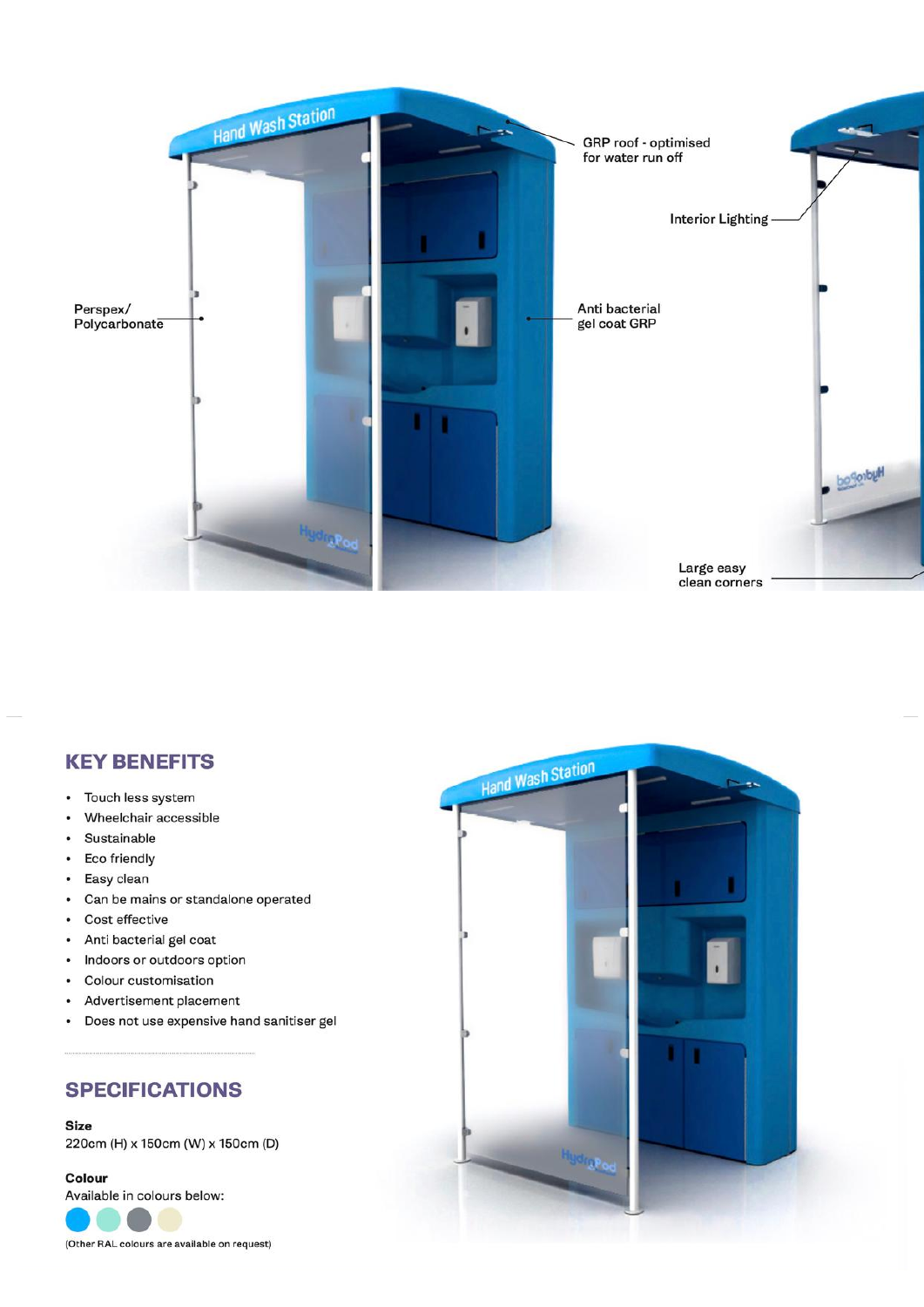

# **KEY BENEFITS**

- $\bullet$ Touch less system
- Wheelchair accessible  $\tilde{\bullet}$
- Sustainable  $\bullet$
- $\bullet$ **Eco friendly**
- Easy clean  $\bullet$
- Can be mains or standalone operated  $\bullet$
- $\bullet$ Cost effective
- Anti bacterial gel coat  $\bullet$
- Indoors or outdoors option  $\bullet$
- $\bullet$ Colour customisation
- Advertisement placement  $\bullet$
- Does not use expensive hand sanitiser gel  $\bullet$

### **SPECIFICATIONS**

### **Size**

220cm (H) x 150cm (W) x 150cm (D)

### Colour